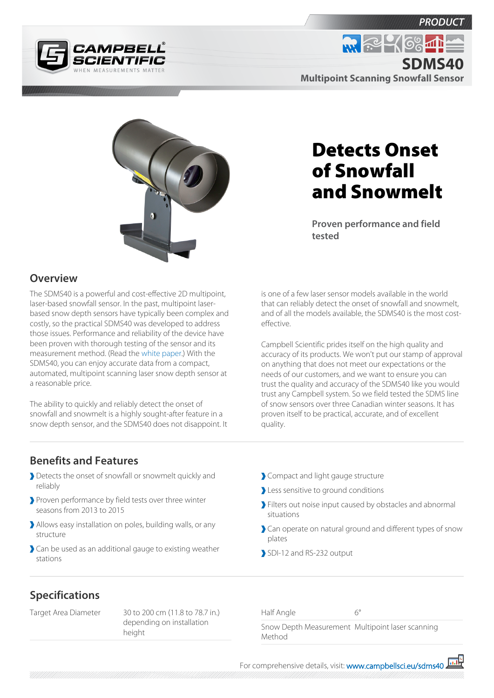





# Detects Onset of Snowfall and Snowmelt

**Proven performance and field tested**

### **Overview**

The SDMS40 is a powerful and cost-effective 2D multipoint, laser-based snowfall sensor. In the past, multipoint laserbased snow depth sensors have typically been complex and costly, so the practical SDMS40 was developed to address those issues. Performance and reliability of the device have been proven with thorough testing of the sensor and its measurement method. (Read the [white paper.](https://s.campbellsci.com/documents/ca/technical-papers/sdms-paper.pdf)) With the SDMS40, you can enjoy accurate data from a compact, automated, multipoint scanning laser snow depth sensor at a reasonable price.

The ability to quickly and reliably detect the onset of snowfall and snowmelt is a highly sought-after feature in a snow depth sensor, and the SDMS40 does not disappoint. It is one of a few laser sensor models available in the world that can reliably detect the onset of snowfall and snowmelt, and of all the models available, the SDMS40 is the most costeffective.

Campbell Scientific prides itself on the high quality and accuracy of its products. We won't put our stamp of approval on anything that does not meet our expectations or the needs of our customers, and we want to ensure you can trust the quality and accuracy of the SDMS40 like you would trust any Campbell system. So we field tested the SDMS line of snow sensors over three Canadian winter seasons. It has proven itself to be practical, accurate, and of excellent quality.

#### **Benefits and Features**

- Detects the onset of snowfall or snowmelt quickly and reliably
- **Proven performance by field tests over three winter** seasons from 2013 to 2015
- Allows easy installation on poles, building walls, or any structure
- Can be used as an additional gauge to existing weather stations
- Compact and light gauge structure
- Less sensitive to ground conditions
- **Filters out noise input caused by obstacles and abnormal** situations
- Can operate on natural ground and different types of snow plates
- SDI-12 and RS-232 output

## **Specifications**

Target Area Diameter 30 to 200 cm (11.8 to 78.7 in.) depending on installation height

Half Angle  $6<sup>c</sup>$ 

Snow Depth Measurement Multipoint laser scanning Method